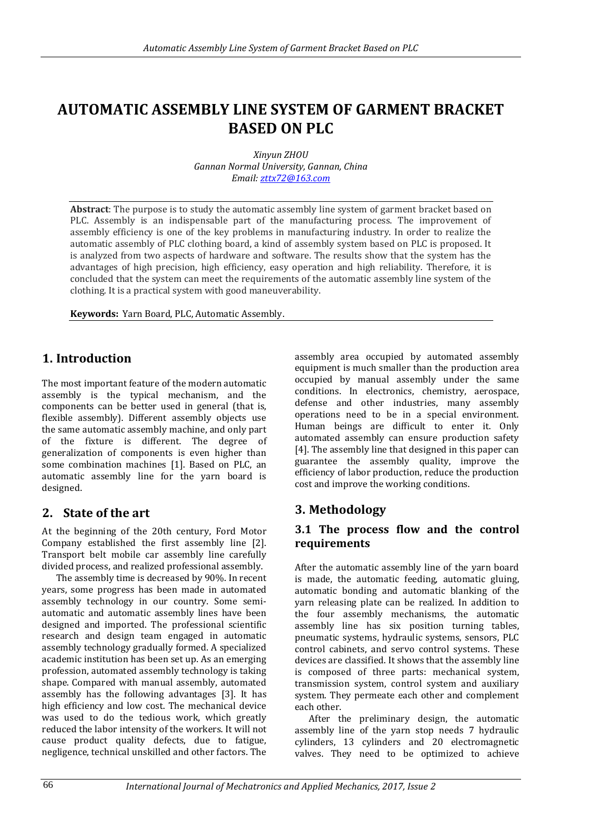# **AUTOMATIC ASSEMBLY LINE SYSTEM OF GARMENT BRACKET BASED ON PLC**

*Xinyun ZHOU Gannan Normal University, Gannan, China Email: [zttx72@163.com](mailto:zttx72@163.com)*

**Abstract**: The purpose is to study the automatic assembly line system of garment bracket based on PLC. Assembly is an indispensable part of the manufacturing process. The improvement of assembly efficiency is one of the key problems in manufacturing industry. In order to realize the automatic assembly of PLC clothing board, a kind of assembly system based on PLC is proposed. It is analyzed from two aspects of hardware and software. The results show that the system has the advantages of high precision, high efficiency, easy operation and high reliability. Therefore, it is concluded that the system can meet the requirements of the automatic assembly line system of the clothing. It is a practical system with good maneuverability.

**Keywords:** Yarn Board, PLC, Automatic Assembly.

# **1. Introduction**

The most important feature of the modern automatic assembly is the typical mechanism, and the components can be better used in general (that is, flexible assembly). Different assembly objects use the same automatic assembly machine, and only part of the fixture is different. The degree of generalization of components is even higher than some combination machines [1]. Based on PLC, an automatic assembly line for the yarn board is designed.

## **2. State of the art**

At the beginning of the 20th century, Ford Motor Company established the first assembly line [2]. Transport belt mobile car assembly line carefully divided process, and realized professional assembly.

The assembly time is decreased by 90%. In recent years, some progress has been made in automated assembly technology in our country. Some semiautomatic and automatic assembly lines have been designed and imported. The professional scientific research and design team engaged in automatic assembly technology gradually formed. A specialized academic institution has been set up. As an emerging profession, automated assembly technology is taking shape. Compared with manual assembly, automated assembly has the following advantages [3]. It has high efficiency and low cost. The mechanical device was used to do the tedious work, which greatly reduced the labor intensity of the workers. It will not cause product quality defects, due to fatigue, negligence, technical unskilled and other factors. The

assembly area occupied by automated assembly equipment is much smaller than the production area occupied by manual assembly under the same conditions. In electronics, chemistry, aerospace, defense and other industries, many assembly operations need to be in a special environment. Human beings are difficult to enter it. Only automated assembly can ensure production safety [4]. The assembly line that designed in this paper can guarantee the assembly quality, improve the efficiency of labor production, reduce the production cost and improve the working conditions.

# **3. Methodology**

#### **3.1 The process flow and the control requirements**

After the automatic assembly line of the yarn board is made, the automatic feeding, automatic gluing, automatic bonding and automatic blanking of the yarn releasing plate can be realized. In addition to the four assembly mechanisms, the automatic assembly line has six position turning tables, pneumatic systems, hydraulic systems, sensors, PLC control cabinets, and servo control systems. These devices are classified. It shows that the assembly line is composed of three parts: mechanical system, transmission system, control system and auxiliary system. They permeate each other and complement each other.

After the preliminary design, the automatic assembly line of the yarn stop needs 7 hydraulic cylinders, 13 cylinders and 20 electromagnetic valves. They need to be optimized to achieve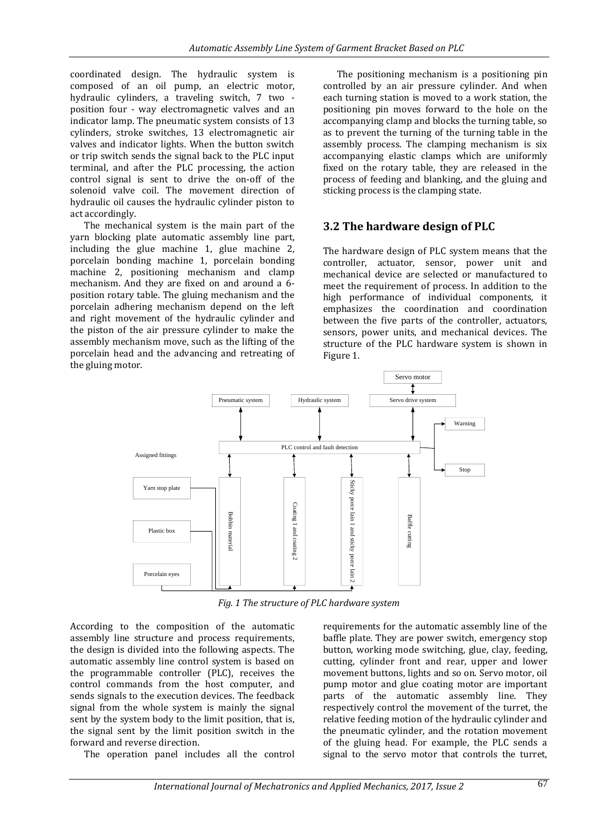coordinated design. The hydraulic system is composed of an oil pump, an electric motor, hydraulic cylinders, a traveling switch, 7 two position four - way electromagnetic valves and an indicator lamp. The pneumatic system consists of 13 cylinders, stroke switches, 13 electromagnetic air valves and indicator lights. When the button switch or trip switch sends the signal back to the PLC input terminal, and after the PLC processing, the action control signal is sent to drive the on-off of the solenoid valve coil. The movement direction of hydraulic oil causes the hydraulic cylinder piston to act accordingly.

The mechanical system is the main part of the yarn blocking plate automatic assembly line part, including the glue machine 1, glue machine 2, porcelain bonding machine 1, porcelain bonding machine 2, positioning mechanism and clamp mechanism. And they are fixed on and around a 6 position rotary table. The gluing mechanism and the porcelain adhering mechanism depend on the left and right movement of the hydraulic cylinder and the piston of the air pressure cylinder to make the assembly mechanism move, such as the lifting of the porcelain head and the advancing and retreating of the gluing motor.

The positioning mechanism is a positioning pin controlled by an air pressure cylinder. And when each turning station is moved to a work station, the positioning pin moves forward to the hole on the accompanying clamp and blocks the turning table, so as to prevent the turning of the turning table in the assembly process. The clamping mechanism is six accompanying elastic clamps which are uniformly fixed on the rotary table, they are released in the process of feeding and blanking, and the gluing and sticking process is the clamping state.

## **3.2 The hardware design of PLC**

The hardware design of PLC system means that the controller, actuator, sensor, power unit and mechanical device are selected or manufactured to meet the requirement of process. In addition to the high performance of individual components, it emphasizes the coordination and coordination between the five parts of the controller, actuators, sensors, power units, and mechanical devices. The structure of the PLC hardware system is shown in Figure 1.



*Fig. 1 The structure of PLC hardware system*

According to the composition of the automatic assembly line structure and process requirements, the design is divided into the following aspects. The automatic assembly line control system is based on the programmable controller (PLC), receives the control commands from the host computer, and sends signals to the execution devices. The feedback signal from the whole system is mainly the signal sent by the system body to the limit position, that is, the signal sent by the limit position switch in the forward and reverse direction.

The operation panel includes all the control

requirements for the automatic assembly line of the baffle plate. They are power switch, emergency stop button, working mode switching, glue, clay, feeding, cutting, cylinder front and rear, upper and lower movement buttons, lights and so on. Servo motor, oil pump motor and glue coating motor are important parts of the automatic assembly line. They respectively control the movement of the turret, the relative feeding motion of the hydraulic cylinder and the pneumatic cylinder, and the rotation movement of the gluing head. For example, the PLC sends a signal to the servo motor that controls the turret,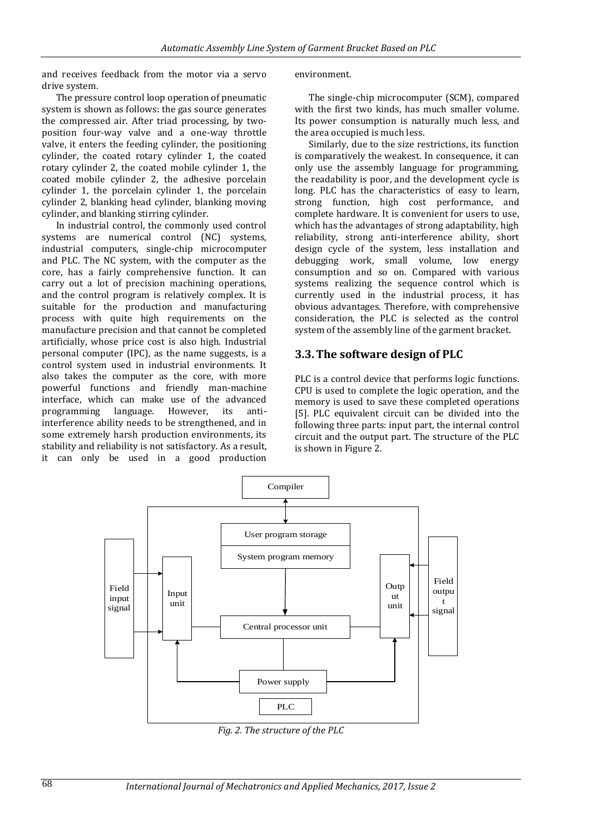and receives feedback from the motor via a servo drive system.

The pressure control loop operation of pneumatic system is shown as follows: the gas source generates the compressed air. After triad processing, by twoposition four-way valve and a one-way throttle valve, it enters the feeding cylinder, the positioning cylinder, the coated rotary cylinder 1, the coated rotary cylinder 2, the coated mobile cylinder 1, the coated mobile cylinder 2, the adhesive porcelain cylinder 1, the porcelain cylinder 1, the porcelain cylinder 2, blanking head cylinder, blanking moving cylinder, and blanking stirring cylinder.

In industrial control, the commonly used control systems are numerical control (NC) systems, industrial computers, single-chip microcomputer and PLC. The NC system, with the computer as the core, has a fairly comprehensive function. It can carry out a lot of precision machining operations, and the control program is relatively complex. It is suitable for the production and manufacturing process with quite high requirements on the manufacture precision and that cannot be completed artificially, whose price cost is also high. Industrial personal computer (IPC), as the name suggests, is a control system used in industrial environments. It also takes the computer as the core, with more powerful functions and friendly man-machine interface, which can make use of the advanced programming language. However, its antiinterference ability needs to be strengthened, and in some extremely harsh production environments, its stability and reliability is not satisfactory. As a result, it can only be used in a good production environment.

The single-chip microcomputer (SCM), compared with the first two kinds, has much smaller volume. Its power consumption is naturally much less, and the area occupied is much less.

Similarly, due to the size restrictions, its function is comparatively the weakest. In consequence, it can only use the assembly language for programming, the readability is poor, and the development cycle is long. PLC has the characteristics of easy to learn, strong function, high cost performance, and complete hardware. It is convenient for users to use, which has the advantages of strong adaptability, high reliability, strong anti-interference ability, short design cycle of the system, less installation and debugging work, small volume, low energy consumption and so on. Compared with various systems realizing the sequence control which is currently used in the industrial process, it has obvious advantages. Therefore, with comprehensive consideration, the PLC is selected as the control system of the assembly line of the garment bracket.

#### **3.3.The software design of PLC**

PLC is a control device that performs logic functions. CPU is used to complete the logic operation, and the memory is used to save these completed operations [5]. PLC equivalent circuit can be divided into the following three parts: input part, the internal control circuit and the output part. The structure of the PLC is shown in Figure 2.



*Fig. 2. The structure of the PLC*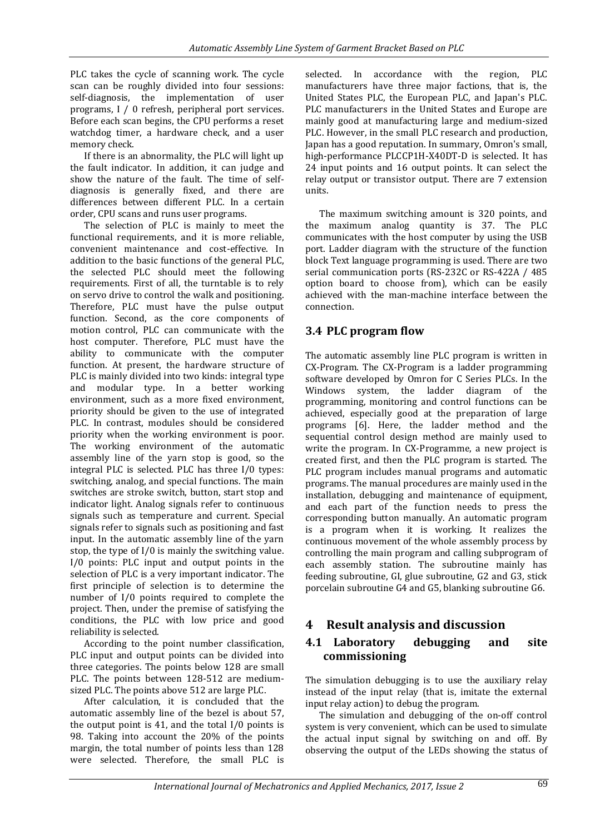PLC takes the cycle of scanning work. The cycle scan can be roughly divided into four sessions: self-diagnosis, the implementation of user programs, I / 0 refresh, peripheral port services. Before each scan begins, the CPU performs a reset watchdog timer, a hardware check, and a user memory check.

If there is an abnormality, the PLC will light up the fault indicator. In addition, it can judge and show the nature of the fault. The time of selfdiagnosis is generally fixed, and there are differences between different PLC. In a certain order, CPU scans and runs user programs.

The selection of PLC is mainly to meet the functional requirements, and it is more reliable, convenient maintenance and cost-effective. In addition to the basic functions of the general PLC, the selected PLC should meet the following requirements. First of all, the turntable is to rely on servo drive to control the walk and positioning. Therefore, PLC must have the pulse output function. Second, as the core components of motion control, PLC can communicate with the host computer. Therefore, PLC must have the ability to communicate with the computer function. At present, the hardware structure of PLC is mainly divided into two kinds: integral type and modular type. In a better working environment, such as a more fixed environment, priority should be given to the use of integrated PLC. In contrast, modules should be considered priority when the working environment is poor. The working environment of the automatic assembly line of the yarn stop is good, so the integral PLC is selected. PLC has three I/0 types: switching, analog, and special functions. The main switches are stroke switch, button, start stop and indicator light. Analog signals refer to continuous signals such as temperature and current. Special signals refer to signals such as positioning and fast input. In the automatic assembly line of the yarn stop, the type of I/0 is mainly the switching value. I/0 points: PLC input and output points in the selection of PLC is a very important indicator. The first principle of selection is to determine the number of I/0 points required to complete the project. Then, under the premise of satisfying the conditions, the PLC with low price and good reliability is selected.

According to the point number classification, PLC input and output points can be divided into three categories. The points below 128 are small PLC. The points between 128-512 are mediumsized PLC. The points above 512 are large PLC.

After calculation, it is concluded that the automatic assembly line of the bezel is about 57, the output point is 41, and the total I/0 points is 98. Taking into account the 20% of the points margin, the total number of points less than 128 were selected. Therefore, the small PLC is

selected. In accordance with the region, PLC manufacturers have three major factions, that is, the United States PLC, the European PLC, and Japan's PLC. PLC manufacturers in the United States and Europe are mainly good at manufacturing large and medium-sized PLC. However, in the small PLC research and production, Japan has a good reputation. In summary, Omron's small, high-performance PLCCP1H-X40DT-D is selected. It has 24 input points and 16 output points. It can select the relay output or transistor output. There are 7 extension units.

The maximum switching amount is 320 points, and the maximum analog quantity is 37. The PLC communicates with the host computer by using the USB port. Ladder diagram with the structure of the function block Text language programming is used. There are two serial communication ports (RS-232C or RS-422A / 485 option board to choose from), which can be easily achieved with the man-machine interface between the connection.

## **3.4 PLC program flow**

The automatic assembly line PLC program is written in CX-Program. The CX-Program is a ladder programming software developed by Omron for C Series PLCs. In the Windows system, the ladder diagram of the programming, monitoring and control functions can be achieved, especially good at the preparation of large programs [6]. Here, the ladder method and the sequential control design method are mainly used to write the program. In CX-Programme, a new project is created first, and then the PLC program is started. The PLC program includes manual programs and automatic programs. The manual procedures are mainly used in the installation, debugging and maintenance of equipment. and each part of the function needs to press the corresponding button manually. An automatic program is a program when it is working. It realizes the continuous movement of the whole assembly process by controlling the main program and calling subprogram of each assembly station. The subroutine mainly has feeding subroutine, GI, glue subroutine, G2 and G3, stick porcelain subroutine G4 and G5, blanking subroutine G6.

# **4 Result analysis and discussion**

#### **4.1 Laboratory debugging and site commissioning**

The simulation debugging is to use the auxiliary relay instead of the input relay (that is, imitate the external input relay action) to debug the program.

The simulation and debugging of the on-off control system is very convenient, which can be used to simulate the actual input signal by switching on and off. By observing the output of the LEDs showing the status of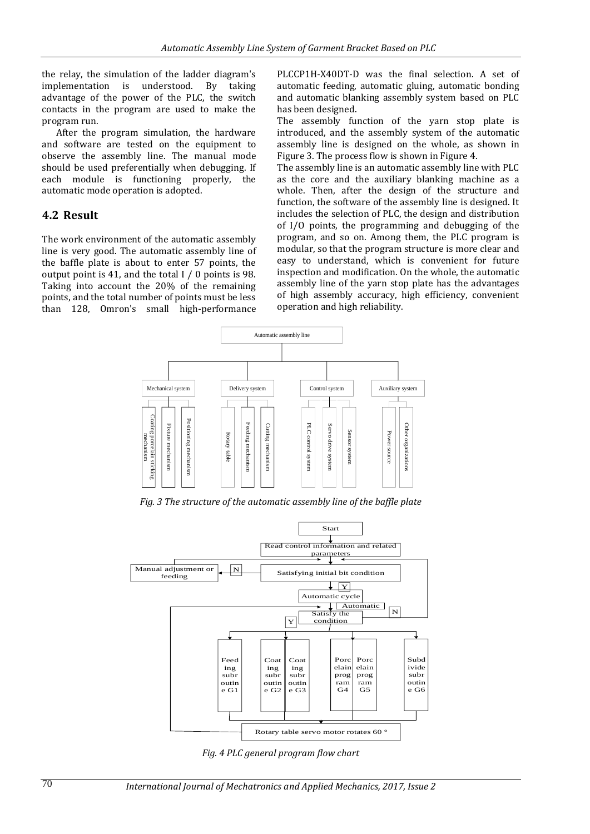the relay, the simulation of the ladder diagram's implementation is understood. By taking advantage of the power of the PLC, the switch contacts in the program are used to make the program run.

After the program simulation, the hardware and software are tested on the equipment to observe the assembly line. The manual mode should be used preferentially when debugging. If each module is functioning properly, the automatic mode operation is adopted.

#### **4.2 Result**

The work environment of the automatic assembly line is very good. The automatic assembly line of the baffle plate is about to enter 57 points, the output point is 41, and the total I / 0 points is 98. Taking into account the 20% of the remaining points, and the total number of points must be less than 128, Omron's small high-performance PLCCP1H-X40DT-D was the final selection. A set of automatic feeding, automatic gluing, automatic bonding and automatic blanking assembly system based on PLC has been designed.

The assembly function of the yarn stop plate is introduced, and the assembly system of the automatic assembly line is designed on the whole, as shown in Figure 3. The process flow is shown in Figure 4.

The assembly line is an automatic assembly line with PLC as the core and the auxiliary blanking machine as a whole. Then, after the design of the structure and function, the software of the assembly line is designed. It includes the selection of PLC, the design and distribution of I/O points, the programming and debugging of the program, and so on. Among them, the PLC program is modular, so that the program structure is more clear and easy to understand, which is convenient for future inspection and modification. On the whole, the automatic assembly line of the yarn stop plate has the advantages of high assembly accuracy, high efficiency, convenient operation and high reliability.



*Fig. 3 The structure of the automatic assembly line of the baffle plate*



*Fig. 4 PLC general program flow chart*